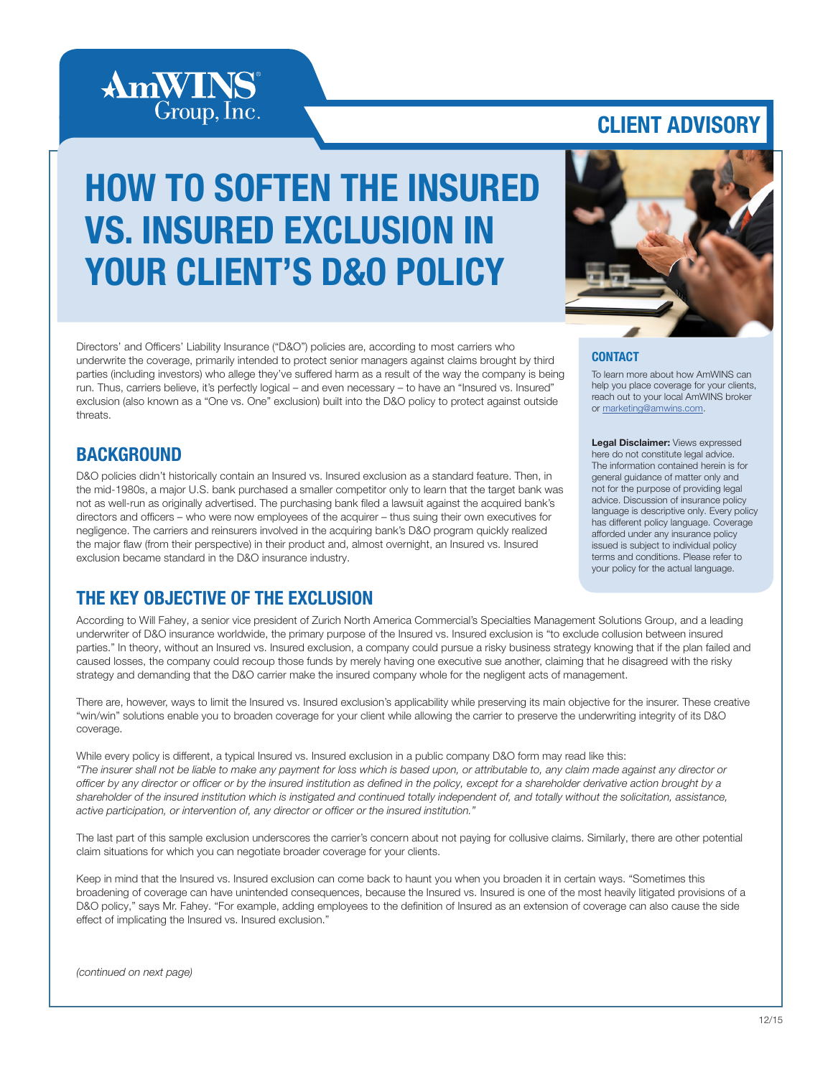

## CLIENT ADVISORY

# HOW TO SOFTEN THE INSURED VS. INSURED EXCLUSION IN YOUR CLIENT'S D&O POLICY



Directors' and Officers' Liability Insurance ("D&O") policies are, according to most carriers who underwrite the coverage, primarily intended to protect senior managers against claims brought by third parties (including investors) who allege they've suffered harm as a result of the way the company is being run. Thus, carriers believe, it's perfectly logical – and even necessary – to have an "Insured vs. Insured" exclusion (also known as a "One vs. One" exclusion) built into the D&O policy to protect against outside threats.

## **BACKGROUND**

D&O policies didn't historically contain an Insured vs. Insured exclusion as a standard feature. Then, in the mid-1980s, a major U.S. bank purchased a smaller competitor only to learn that the target bank was not as well-run as originally advertised. The purchasing bank filed a lawsuit against the acquired bank's directors and officers – who were now employees of the acquirer – thus suing their own executives for negligence. The carriers and reinsurers involved in the acquiring bank's D&O program quickly realized the major flaw (from their perspective) in their product and, almost overnight, an Insured vs. Insured exclusion became standard in the D&O insurance industry.

## THE KEY OBJECTIVE OF THE EXCLUSION

According to Will Fahey, a senior vice president of Zurich North America Commercial's Specialties Management Solutions Group, and a leading underwriter of D&O insurance worldwide, the primary purpose of the Insured vs. Insured exclusion is "to exclude collusion between insured parties." In theory, without an Insured vs. Insured exclusion, a company could pursue a risky business strategy knowing that if the plan failed and caused losses, the company could recoup those funds by merely having one executive sue another, claiming that he disagreed with the risky strategy and demanding that the D&O carrier make the insured company whole for the negligent acts of management.

There are, however, ways to limit the Insured vs. Insured exclusion's applicability while preserving its main objective for the insurer. These creative "win/win" solutions enable you to broaden coverage for your client while allowing the carrier to preserve the underwriting integrity of its D&O coverage.

While every policy is different, a typical Insured vs. Insured exclusion in a public company D&O form may read like this: *"The insurer shall not be liable to make any payment for loss which is based upon, or attributable to, any claim made against any director or officer by any director or officer or by the insured institution as defined in the policy, except for a shareholder derivative action brought by a shareholder of the insured institution which is instigated and continued totally independent of, and totally without the solicitation, assistance, active participation, or intervention of, any director or officer or the insured institution."*

The last part of this sample exclusion underscores the carrier's concern about not paying for collusive claims. Similarly, there are other potential claim situations for which you can negotiate broader coverage for your clients.

Keep in mind that the Insured vs. Insured exclusion can come back to haunt you when you broaden it in certain ways. "Sometimes this broadening of coverage can have unintended consequences, because the Insured vs. Insured is one of the most heavily litigated provisions of a D&O policy," says Mr. Fahey. "For example, adding employees to the definition of Insured as an extension of coverage can also cause the side effect of implicating the Insured vs. Insured exclusion."

#### *(continued on next page)*

#### **CONTACT**

To learn more about how AmWINS can help you place coverage for your clients, reach out to your local AmWINS broker or marketing@amwins.com.

Legal Disclaimer: Views expressed here do not constitute legal advice. The information contained herein is for general guidance of matter only and not for the purpose of providing legal advice. Discussion of insurance policy language is descriptive only. Every policy has different policy language. Coverage afforded under any insurance policy issued is subject to individual policy terms and conditions. Please refer to your policy for the actual language.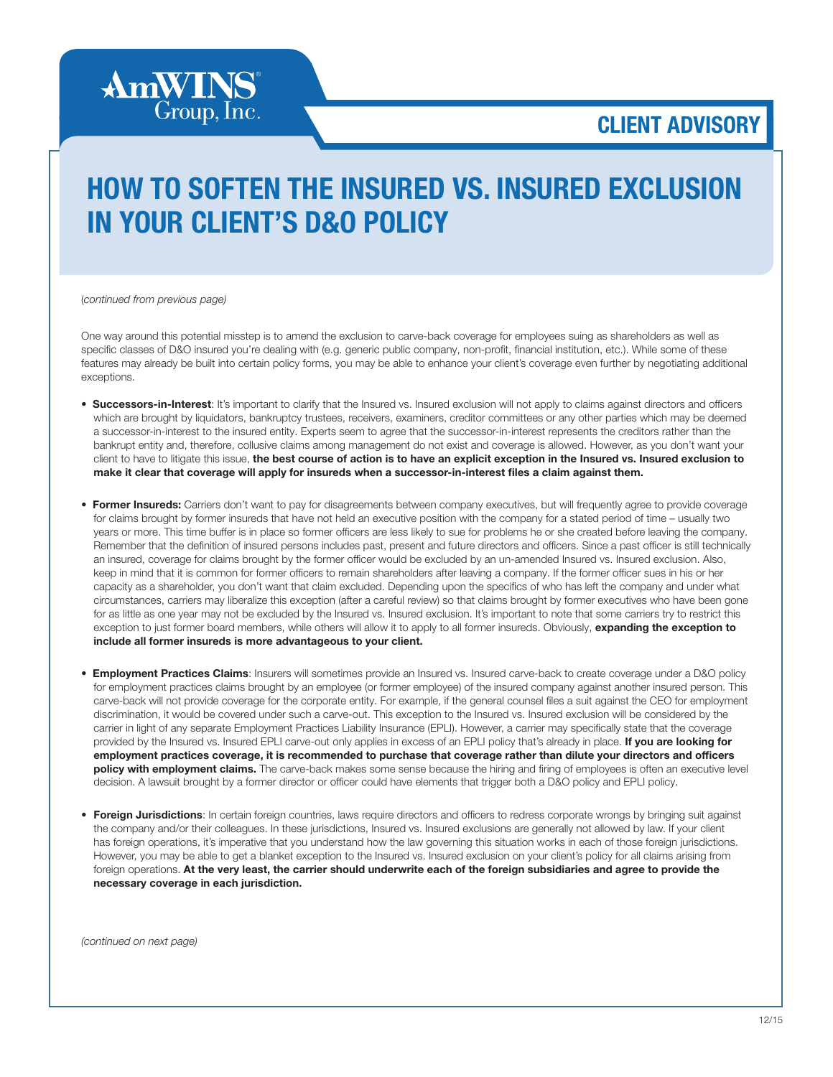CLIENT ADVISORY

## HOW TO SOFTEN THE INSURED VS. INSURED EXCLUSION IN YOUR CLIENT'S D&O POLICY

(*continued from previous page)*

**AmWINS**<sup>®</sup> Group, Inc.

One way around this potential misstep is to amend the exclusion to carve-back coverage for employees suing as shareholders as well as specific classes of D&O insured you're dealing with (e.g. generic public company, non-profit, financial institution, etc.). While some of these features may already be built into certain policy forms, you may be able to enhance your client's coverage even further by negotiating additional exceptions.

- Successors-in-Interest: It's important to clarify that the Insured vs. Insured exclusion will not apply to claims against directors and officers which are brought by liquidators, bankruptcy trustees, receivers, examiners, creditor committees or any other parties which may be deemed a successor-in-interest to the insured entity. Experts seem to agree that the successor-in-interest represents the creditors rather than the bankrupt entity and, therefore, collusive claims among management do not exist and coverage is allowed. However, as you don't want your client to have to litigate this issue, the best course of action is to have an explicit exception in the Insured vs. Insured exclusion to make it clear that coverage will apply for insureds when a successor-in-interest files a claim against them.
- Former Insureds: Carriers don't want to pay for disagreements between company executives, but will frequently agree to provide coverage for claims brought by former insureds that have not held an executive position with the company for a stated period of time – usually two years or more. This time buffer is in place so former officers are less likely to sue for problems he or she created before leaving the company. Remember that the definition of insured persons includes past, present and future directors and officers. Since a past officer is still technically an insured, coverage for claims brought by the former officer would be excluded by an un-amended Insured vs. Insured exclusion. Also, keep in mind that it is common for former officers to remain shareholders after leaving a company. If the former officer sues in his or her capacity as a shareholder, you don't want that claim excluded. Depending upon the specifics of who has left the company and under what circumstances, carriers may liberalize this exception (after a careful review) so that claims brought by former executives who have been gone for as little as one year may not be excluded by the Insured vs. Insured exclusion. It's important to note that some carriers try to restrict this exception to just former board members, while others will allow it to apply to all former insureds. Obviously, expanding the exception to include all former insureds is more advantageous to your client.
- **Employment Practices Claims**: Insurers will sometimes provide an Insured vs. Insured carve-back to create coverage under a D&O policy for employment practices claims brought by an employee (or former employee) of the insured company against another insured person. This carve-back will not provide coverage for the corporate entity. For example, if the general counsel files a suit against the CEO for employment discrimination, it would be covered under such a carve-out. This exception to the Insured vs. Insured exclusion will be considered by the carrier in light of any separate Employment Practices Liability Insurance (EPLI). However, a carrier may specifically state that the coverage provided by the Insured vs. Insured EPLI carve-out only applies in excess of an EPLI policy that's already in place. If you are looking for employment practices coverage, it is recommended to purchase that coverage rather than dilute your directors and officers policy with employment claims. The carve-back makes some sense because the hiring and firing of employees is often an executive level decision. A lawsuit brought by a former director or officer could have elements that trigger both a D&O policy and EPLI policy.
- Foreign Jurisdictions: In certain foreign countries, laws require directors and officers to redress corporate wrongs by bringing suit against the company and/or their colleagues. In these jurisdictions, Insured vs. Insured exclusions are generally not allowed by law. If your client has foreign operations, it's imperative that you understand how the law governing this situation works in each of those foreign jurisdictions. However, you may be able to get a blanket exception to the Insured vs. Insured exclusion on your client's policy for all claims arising from foreign operations. At the very least, the carrier should underwrite each of the foreign subsidiaries and agree to provide the necessary coverage in each jurisdiction.

*(continued on next page)*